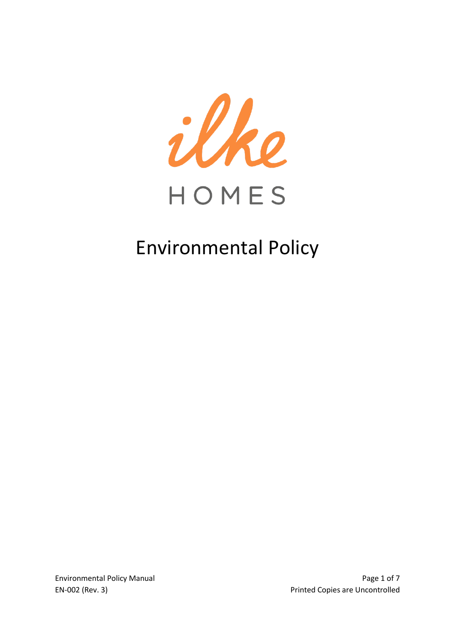

# Environmental Policy

Environmental Policy Manual **Page 1 of 7** and 2011 11 and 2012 12:30 and 2012 12:30 and 2012 12:30 Page 1 of 7 EN-002 (Rev. 3) **EN-002** (Rev. 3)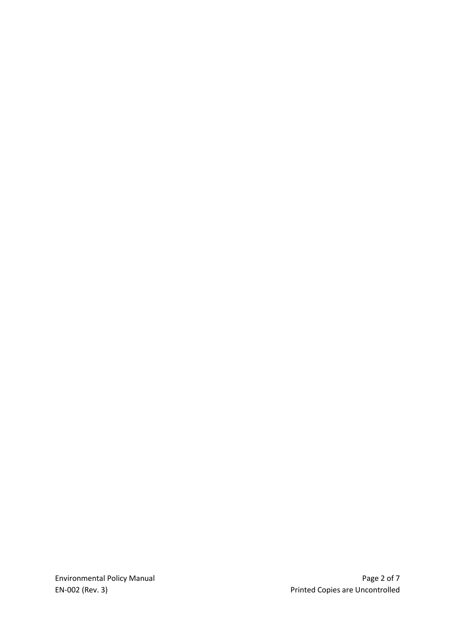Environmental Policy Manual EN -00 2 (Rev. 3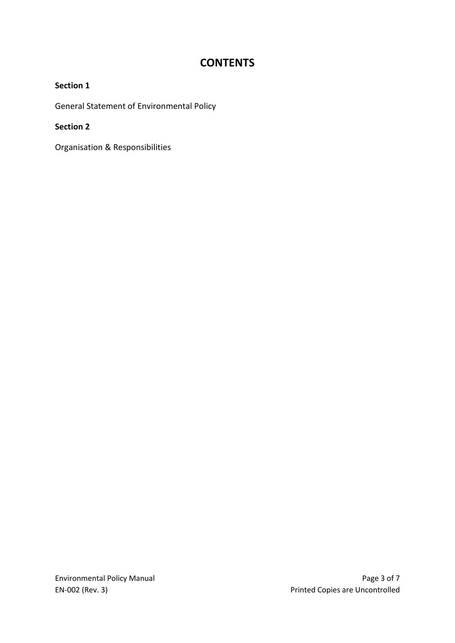# **CONTENTS**

## **Section 1**

General Statement of Environmental Policy

### **Section 2**

Organisation & Responsibilities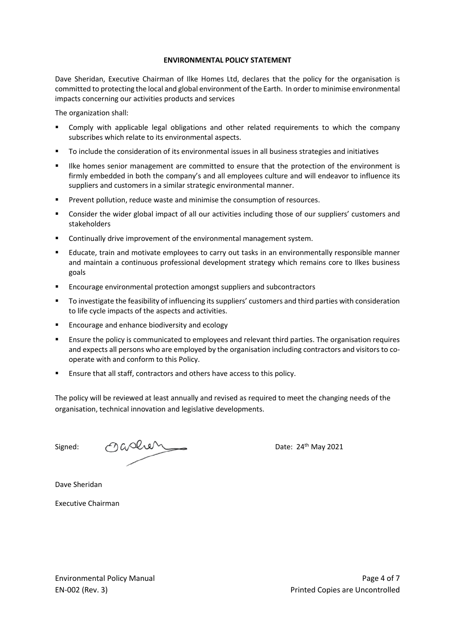#### **ENVIRONMENTAL POLICY STATEMENT**

Dave Sheridan, Executive Chairman of Ilke Homes Ltd, declares that the policy for the organisation is committed to protecting the local and global environment of the Earth. In order to minimise environmental impacts concerning our activities products and services

The organization shall:

- **•** Comply with applicable legal obligations and other related requirements to which the company subscribes which relate to its environmental aspects.
- To include the consideration of its environmental issues in all business strategies and initiatives
- Ilke homes senior management are committed to ensure that the protection of the environment is firmly embedded in both the company's and all employees culture and will endeavor to influence its suppliers and customers in a similar strategic environmental manner.
- **•** Prevent pollution, reduce waste and minimise the consumption of resources.
- Consider the wider global impact of all our activities including those of our suppliers' customers and stakeholders
- Continually drive improvement of the environmental management system.
- Educate, train and motivate employees to carry out tasks in an environmentally responsible manner and maintain a continuous professional development strategy which remains core to Ilkes business goals
- Encourage environmental protection amongst suppliers and subcontractors
- To investigate the feasibility of influencing its suppliers' customers and third parties with consideration to life cycle impacts of the aspects and activities.
- Encourage and enhance biodiversity and ecology
- Ensure the policy is communicated to employees and relevant third parties. The organisation requires and expects all persons who are employed by the organisation including contractors and visitors to cooperate with and conform to this Policy.
- Ensure that all staff, contractors and others have access to this policy.

The policy will be reviewed at least annually and revised as required to meet the changing needs of the organisation, technical innovation and legislative developments.

Signed:  $\bigcirc$  and  $\bigcirc$  and  $\bigcirc$  Date: 24<sup>th</sup> May 2021

Dave Sheridan

Executive Chairman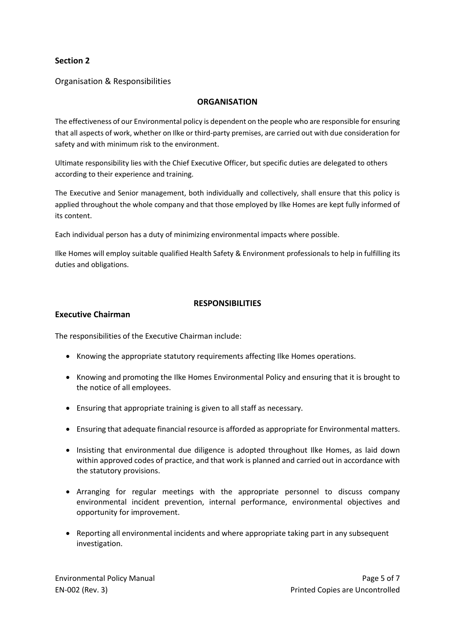#### **Section 2**

Organisation & Responsibilities

#### **ORGANISATION**

The effectiveness of our Environmental policy is dependent on the people who are responsible for ensuring that all aspects of work, whether on Ilke or third-party premises, are carried out with due consideration for safety and with minimum risk to the environment.

Ultimate responsibility lies with the Chief Executive Officer, but specific duties are delegated to others according to their experience and training.

The Executive and Senior management, both individually and collectively, shall ensure that this policy is applied throughout the whole company and that those employed by Ilke Homes are kept fully informed of its content.

Each individual person has a duty of minimizing environmental impacts where possible.

Ilke Homes will employ suitable qualified Health Safety & Environment professionals to help in fulfilling its duties and obligations.

#### **RESPONSIBILITIES**

#### **Executive Chairman**

The responsibilities of the Executive Chairman include:

- Knowing the appropriate statutory requirements affecting Ilke Homes operations.
- Knowing and promoting the Ilke Homes Environmental Policy and ensuring that it is brought to the notice of all employees.
- Ensuring that appropriate training is given to all staff as necessary.
- Ensuring that adequate financial resource is afforded as appropriate for Environmental matters.
- Insisting that environmental due diligence is adopted throughout Ilke Homes, as laid down within approved codes of practice, and that work is planned and carried out in accordance with the statutory provisions.
- Arranging for regular meetings with the appropriate personnel to discuss company environmental incident prevention, internal performance, environmental objectives and opportunity for improvement.
- Reporting all environmental incidents and where appropriate taking part in any subsequent investigation.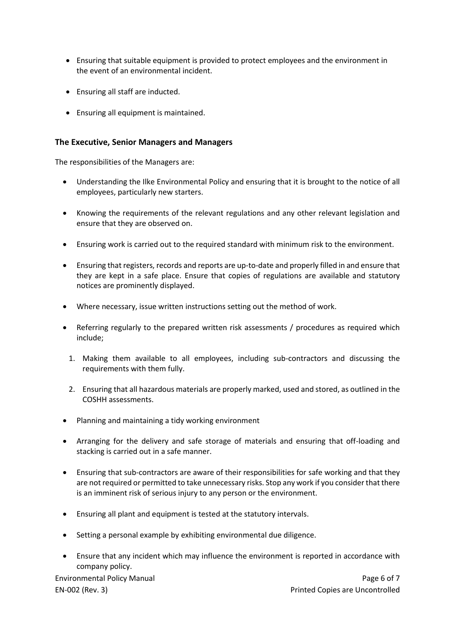- Ensuring that suitable equipment is provided to protect employees and the environment in the event of an environmental incident.
- Ensuring all staff are inducted.
- Ensuring all equipment is maintained.

#### **The Executive, Senior Managers and Managers**

The responsibilities of the Managers are:

- Understanding the Ilke Environmental Policy and ensuring that it is brought to the notice of all employees, particularly new starters.
- Knowing the requirements of the relevant regulations and any other relevant legislation and ensure that they are observed on.
- Ensuring work is carried out to the required standard with minimum risk to the environment.
- Ensuring that registers, records and reports are up-to-date and properly filled in and ensure that they are kept in a safe place. Ensure that copies of regulations are available and statutory notices are prominently displayed.
- Where necessary, issue written instructions setting out the method of work.
- Referring regularly to the prepared written risk assessments / procedures as required which include;
	- 1. Making them available to all employees, including sub-contractors and discussing the requirements with them fully.
	- 2. Ensuring that all hazardous materials are properly marked, used and stored, as outlined in the COSHH assessments.
- Planning and maintaining a tidy working environment
- Arranging for the delivery and safe storage of materials and ensuring that off-loading and stacking is carried out in a safe manner.
- Ensuring that sub-contractors are aware of their responsibilities for safe working and that they are not required or permitted to take unnecessary risks. Stop any work if you consider that there is an imminent risk of serious injury to any person or the environment.
- Ensuring all plant and equipment is tested at the statutory intervals.
- Setting a personal example by exhibiting environmental due diligence.
- Ensure that any incident which may influence the environment is reported in accordance with company policy.